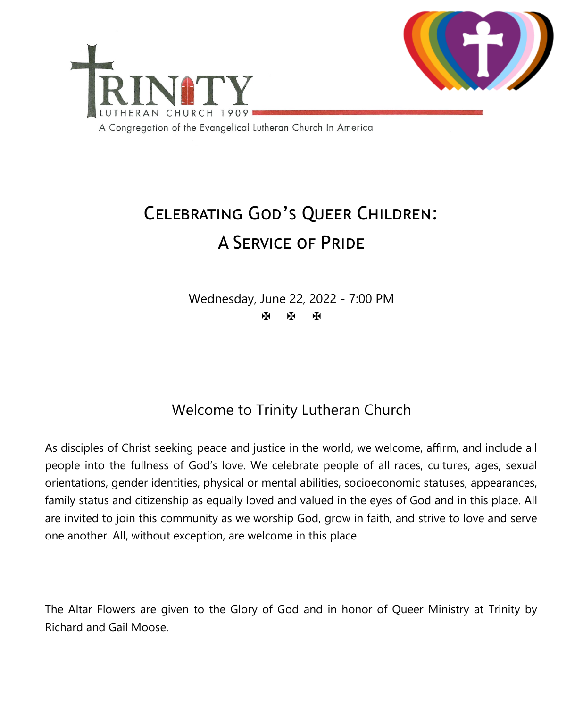

# Celebrating God's Queer Children: A Service of Pride

Wednesday, June 22, 2022 - 7:00 PM 医图图

## Welcome to Trinity Lutheran Church

As disciples of Christ seeking peace and justice in the world, we welcome, affirm, and include all people into the fullness of God's love. We celebrate people of all races, cultures, ages, sexual orientations, gender identities, physical or mental abilities, socioeconomic statuses, appearances, family status and citizenship as equally loved and valued in the eyes of God and in this place. All are invited to join this community as we worship God, grow in faith, and strive to love and serve one another. All, without exception, are welcome in this place.

The Altar Flowers are given to the Glory of God and in honor of Queer Ministry at Trinity by Richard and Gail Moose.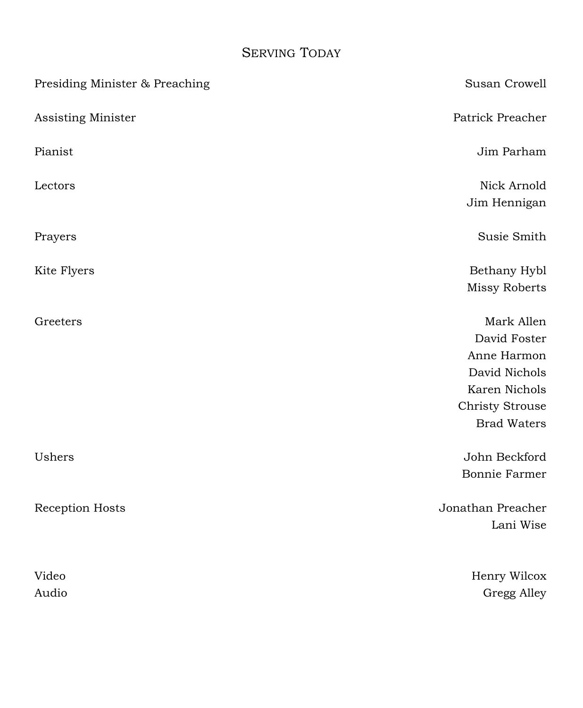## SERVING TODAY

| Susan Crowell          |
|------------------------|
| Patrick Preacher       |
| Jim Parham             |
| Nick Arnold            |
| Jim Hennigan           |
| Susie Smith            |
| Bethany Hybl           |
| <b>Missy Roberts</b>   |
| Mark Allen             |
| David Foster           |
| Anne Harmon            |
| David Nichols          |
| Karen Nichols          |
| <b>Christy Strouse</b> |
| <b>Brad Waters</b>     |
| John Beckford          |
| <b>Bonnie Farmer</b>   |
| Jonathan Preacher      |
| Lani Wise              |
| Henry Wilcox           |
| Gregg Alley            |
|                        |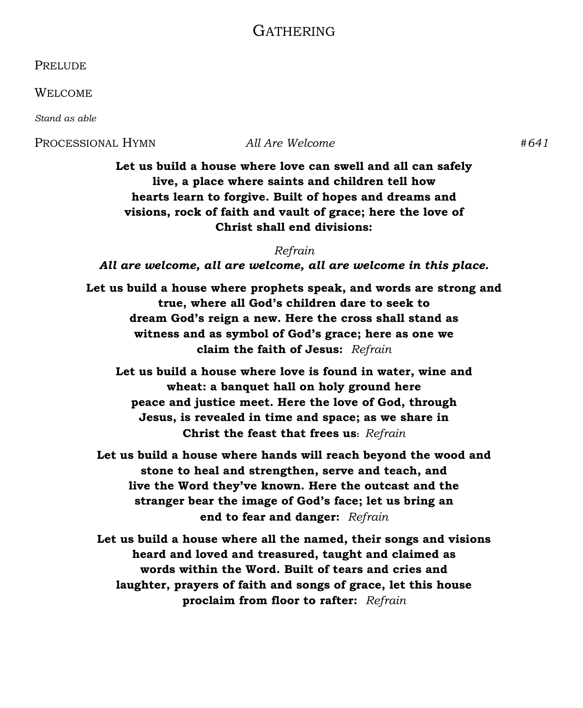#### GATHERING

**PRELUDE** 

WELCOME

*Stand as able*

PROCESSIONAL HYMN *All Are Welcome #641*

**Let us build a house where love can swell and all can safely live, a place where saints and children tell how hearts learn to forgive. Built of hopes and dreams and visions, rock of faith and vault of grace; here the love of Christ shall end divisions:**

*Refrain All are welcome, all are welcome, all are welcome in this place.*

**Let us build a house where prophets speak, and words are strong and true, where all God's children dare to seek to dream God's reign a new. Here the cross shall stand as witness and as symbol of God's grace; here as one we claim the faith of Jesus:** *Refrain*

**Let us build a house where love is found in water, wine and wheat: a banquet hall on holy ground here peace and justice meet. Here the love of God, through Jesus, is revealed in time and space; as we share in Christ the feast that frees us:** *Refrain*

**Let us build a house where hands will reach beyond the wood and stone to heal and strengthen, serve and teach, and live the Word they've known. Here the outcast and the stranger bear the image of God's face; let us bring an end to fear and danger:** *Refrain*

**Let us build a house where all the named, their songs and visions heard and loved and treasured, taught and claimed as words within the Word. Built of tears and cries and laughter, prayers of faith and songs of grace, let this house proclaim from floor to rafter:** *Refrain*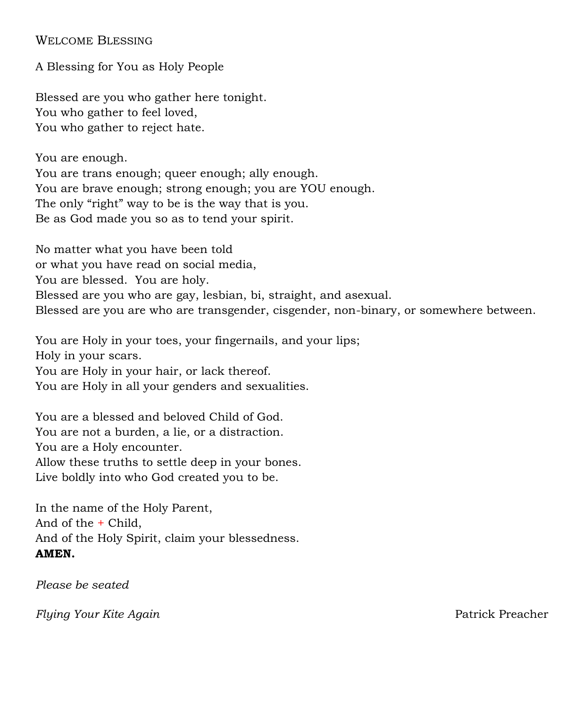WELCOME BLESSING

A Blessing for You as Holy People

Blessed are you who gather here tonight. You who gather to feel loved, You who gather to reject hate.

You are enough. You are trans enough; queer enough; ally enough. You are brave enough; strong enough; you are YOU enough. The only "right" way to be is the way that is you. Be as God made you so as to tend your spirit.

No matter what you have been told or what you have read on social media, You are blessed. You are holy. Blessed are you who are gay, lesbian, bi, straight, and asexual. Blessed are you are who are transgender, cisgender, non-binary, or somewhere between.

You are Holy in your toes, your fingernails, and your lips; Holy in your scars. You are Holy in your hair, or lack thereof. You are Holy in all your genders and sexualities.

You are a blessed and beloved Child of God. You are not a burden, a lie, or a distraction. You are a Holy encounter. Allow these truths to settle deep in your bones. Live boldly into who God created you to be.

In the name of the Holy Parent, And of the + Child, And of the Holy Spirit, claim your blessedness. **AMEN.**

*Please be seated*

*Flying Your Kite Again* Patrick Preacher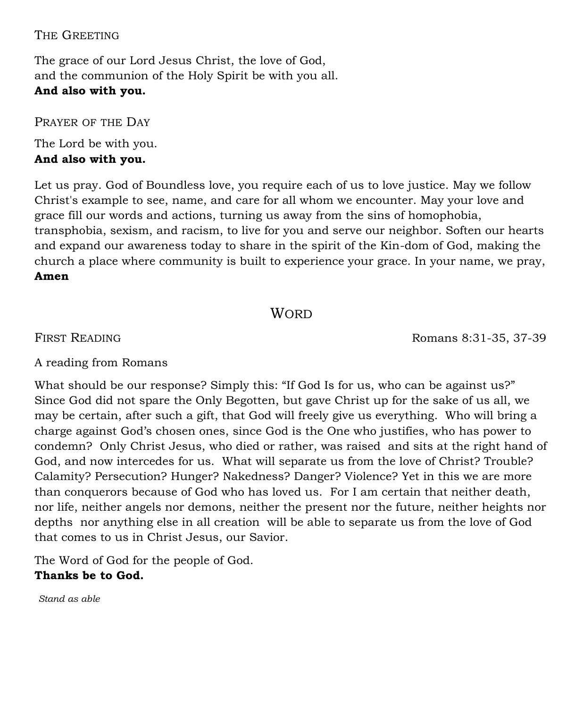#### THE GREETING

The grace of our Lord Jesus Christ, the love of God, and the communion of the Holy Spirit be with you all. **And also with you.**

PRAYER OF THE DAY

The Lord be with you. **And also with you.**

Let us pray. God of Boundless love, you require each of us to love justice. May we follow Christ's example to see, name, and care for all whom we encounter. May your love and grace fill our words and actions, turning us away from the sins of homophobia, transphobia, sexism, and racism, to live for you and serve our neighbor. Soften our hearts and expand our awareness today to share in the spirit of the Kin-dom of God, making the church a place where community is built to experience your grace. In your name, we pray, **Amen**

#### **WORD**

FIRST READING **Romans 8:31-35, 37-39** 

A reading from Romans

What should be our response? Simply this: "If God Is for us, who can be against us?" Since God did not spare the Only Begotten, but gave Christ up for the sake of us all, we may be certain, after such a gift, that God will freely give us everything. Who will bring a charge against God's chosen ones, since God is the One who justifies, who has power to condemn? Only Christ Jesus, who died or rather, was raised and sits at the right hand of God, and now intercedes for us. What will separate us from the love of Christ? Trouble? Calamity? Persecution? Hunger? Nakedness? Danger? Violence? Yet in this we are more than conquerors because of God who has loved us. For I am certain that neither death, nor life, neither angels nor demons, neither the present nor the future, neither heights nor depths nor anything else in all creation will be able to separate us from the love of God that comes to us in Christ Jesus, our Savior.

The Word of God for the people of God. **Thanks be to God.**

*Stand as able*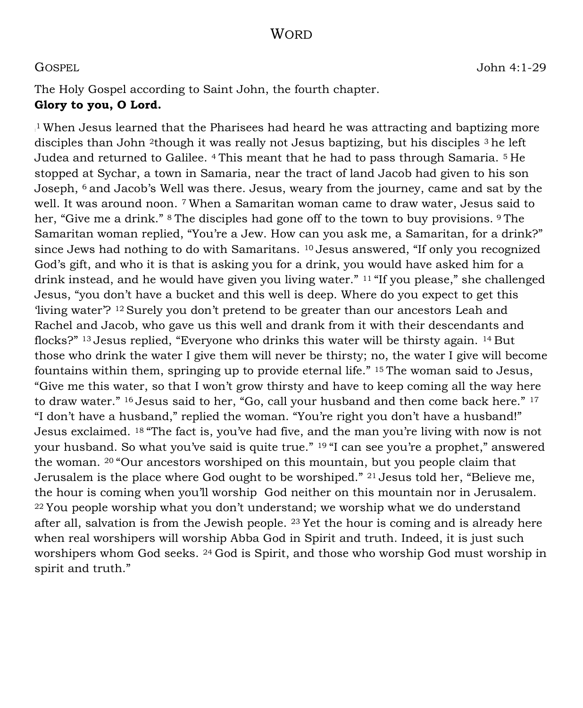#### **WORD**

GOSPEL John 4:1-29

The Holy Gospel according to Saint John, the fourth chapter. **Glory to you, O Lord.**

: <sup>1</sup>When Jesus learned that the Pharisees had heard he was attracting and baptizing more disciples than John 2though it was really not Jesus baptizing, but his disciples 3 he left Judea and returned to Galilee. 4 This meant that he had to pass through Samaria. 5 He stopped at Sychar, a town in Samaria, near the tract of land Jacob had given to his son Joseph, 6 and Jacob's Well was there. Jesus, weary from the journey, came and sat by the well. It was around noon. 7 When a Samaritan woman came to draw water, Jesus said to her, "Give me a drink." <sup>8</sup> The disciples had gone off to the town to buy provisions. <sup>9</sup> The Samaritan woman replied, "You're a Jew. How can you ask me, a Samaritan, for a drink?" since Jews had nothing to do with Samaritans. 10 Jesus answered, "If only you recognized God's gift, and who it is that is asking you for a drink, you would have asked him for a drink instead, and he would have given you living water." 11 "If you please," she challenged Jesus, "you don't have a bucket and this well is deep. Where do you expect to get this 'living water'? 12 Surely you don't pretend to be greater than our ancestors Leah and Rachel and Jacob, who gave us this well and drank from it with their descendants and flocks?" 13 Jesus replied, "Everyone who drinks this water will be thirsty again. 14 But those who drink the water I give them will never be thirsty; no, the water I give will become fountains within them, springing up to provide eternal life." 15 The woman said to Jesus, "Give me this water, so that I won't grow thirsty and have to keep coming all the way here to draw water." <sup>16</sup> Jesus said to her, "Go, call your husband and then come back here." <sup>17</sup> "I don't have a husband," replied the woman. "You're right you don't have a husband!" Jesus exclaimed. 18 "The fact is, you've had five, and the man you're living with now is not your husband. So what you've said is quite true." <sup>19</sup> "I can see you're a prophet," answered the woman. 20 "Our ancestors worshiped on this mountain, but you people claim that Jerusalem is the place where God ought to be worshiped." 21 Jesus told her, "Believe me, the hour is coming when you'll worship God neither on this mountain nor in Jerusalem. <sup>22</sup>You people worship what you don't understand; we worship what we do understand after all, salvation is from the Jewish people.  $23$  Yet the hour is coming and is already here when real worshipers will worship Abba God in Spirit and truth. Indeed, it is just such worshipers whom God seeks. 24 God is Spirit, and those who worship God must worship in spirit and truth."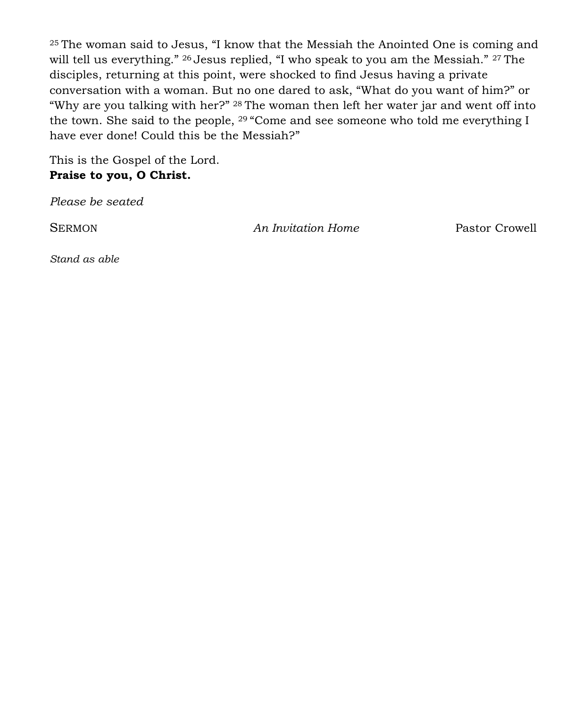<sup>25</sup>The woman said to Jesus, "I know that the Messiah the Anointed One is coming and will tell us everything." 26 Jesus replied, "I who speak to you am the Messiah." 27 The disciples, returning at this point, were shocked to find Jesus having a private conversation with a woman. But no one dared to ask, "What do you want of him?" or "Why are you talking with her?" 28 The woman then left her water jar and went off into the town. She said to the people, 29 "Come and see someone who told me everything I have ever done! Could this be the Messiah?"

This is the Gospel of the Lord. **Praise to you, O Christ.**

*Please be seated*

SERMON *An Invitation Home* Pastor Crowell

*Stand as able*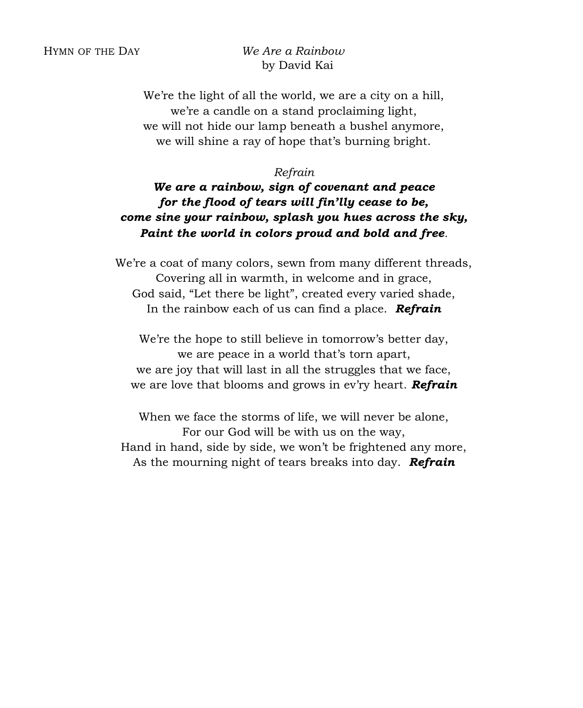#### HYMN OF THE DAY *We Are a Rainbow*  by David Kai

We're the light of all the world, we are a city on a hill, we're a candle on a stand proclaiming light, we will not hide our lamp beneath a bushel anymore, we will shine a ray of hope that's burning bright.

#### *Refrain*

#### *We are a rainbow, sign of covenant and peace for the flood of tears will fin'lly cease to be, come sine your rainbow, splash you hues across the sky, Paint the world in colors proud and bold and free.*

We're a coat of many colors, sewn from many different threads, Covering all in warmth, in welcome and in grace, God said, "Let there be light", created every varied shade, In the rainbow each of us can find a place. *Refrain* 

We're the hope to still believe in tomorrow's better day, we are peace in a world that's torn apart, we are joy that will last in all the struggles that we face, we are love that blooms and grows in ev'ry heart. *Refrain*

When we face the storms of life, we will never be alone, For our God will be with us on the way, Hand in hand, side by side, we won't be frightened any more, As the mourning night of tears breaks into day. *Refrain*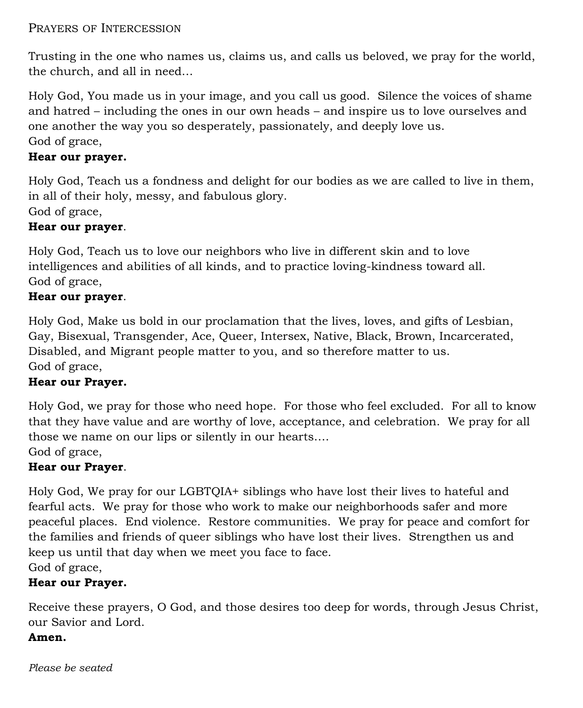#### PRAYERS OF INTERCESSION

Trusting in the one who names us, claims us, and calls us beloved, we pray for the world, the church, and all in need…

Holy God, You made us in your image, and you call us good. Silence the voices of shame and hatred – including the ones in our own heads – and inspire us to love ourselves and one another the way you so desperately, passionately, and deeply love us. God of grace,

#### **Hear our prayer.**

Holy God, Teach us a fondness and delight for our bodies as we are called to live in them, in all of their holy, messy, and fabulous glory. God of grace,

#### **Hear our prayer**.

Holy God, Teach us to love our neighbors who live in different skin and to love intelligences and abilities of all kinds, and to practice loving-kindness toward all. God of grace,

#### **Hear our prayer**.

Holy God, Make us bold in our proclamation that the lives, loves, and gifts of Lesbian, Gay, Bisexual, Transgender, Ace, Queer, Intersex, Native, Black, Brown, Incarcerated, Disabled, and Migrant people matter to you, and so therefore matter to us. God of grace,

#### **Hear our Prayer.**

Holy God, we pray for those who need hope. For those who feel excluded. For all to know that they have value and are worthy of love, acceptance, and celebration. We pray for all those we name on our lips or silently in our hearts….

## God of grace,

#### **Hear our Prayer**.

Holy God, We pray for our LGBTQIA+ siblings who have lost their lives to hateful and fearful acts. We pray for those who work to make our neighborhoods safer and more peaceful places. End violence. Restore communities. We pray for peace and comfort for the families and friends of queer siblings who have lost their lives. Strengthen us and keep us until that day when we meet you face to face. God of grace,

#### **Hear our Prayer.**

Receive these prayers, O God, and those desires too deep for words, through Jesus Christ, our Savior and Lord.

#### **Amen.**

*Please be seated*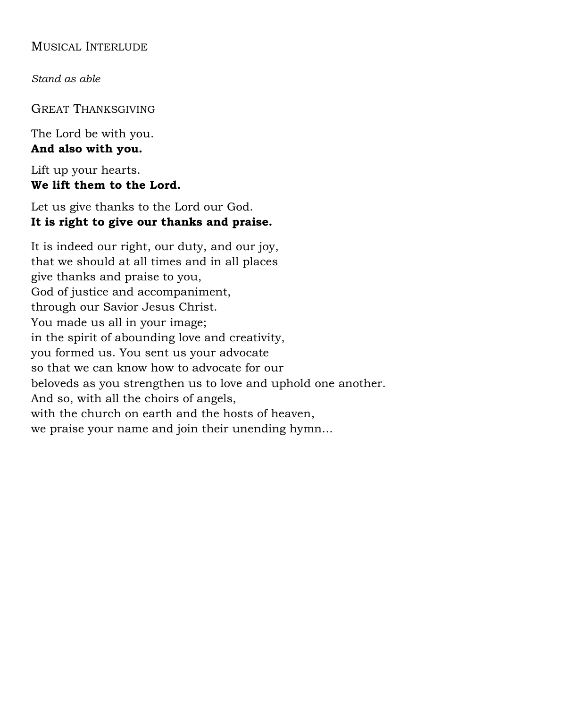#### MUSICAL INTERLUDE

*Stand as able*

GREAT THANKSGIVING

The Lord be with you. **And also with you.**

Lift up your hearts. **We lift them to the Lord.**

Let us give thanks to the Lord our God. **It is right to give our thanks and praise.**

It is indeed our right, our duty, and our joy, that we should at all times and in all places give thanks and praise to you, God of justice and accompaniment, through our Savior Jesus Christ. You made us all in your image; in the spirit of abounding love and creativity, you formed us. You sent us your advocate so that we can know how to advocate for our beloveds as you strengthen us to love and uphold one another. And so, with all the choirs of angels, with the church on earth and the hosts of heaven, we praise your name and join their unending hymn...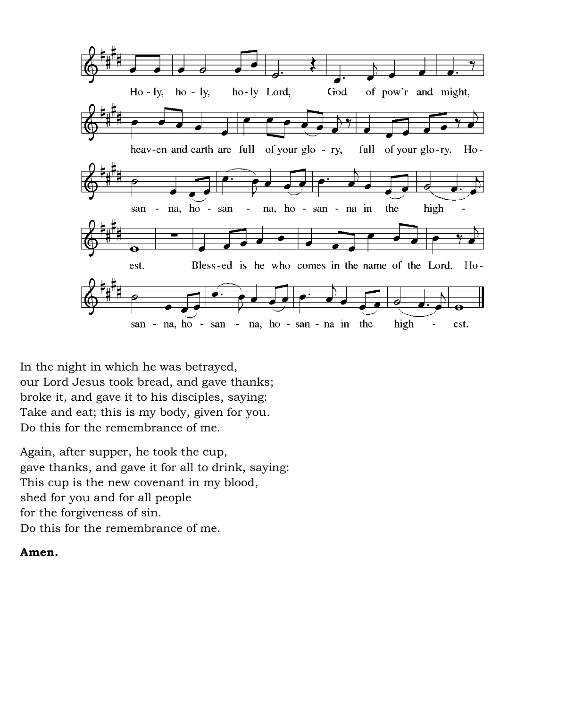

In the night in which he was betrayed, our Lord Jesus took bread, and gave thanks; broke it, and gave it to his disciples, saying: Take and eat; this is my body, given for you. Do this for the remembrance of me.

Again, after supper, he took the cup, gave thanks, and gave it for all to drink, saying: This cup is the new covenant in my blood, shed for you and for all people for the forgiveness of sin. Do this for the remembrance of me.

#### **Amen.**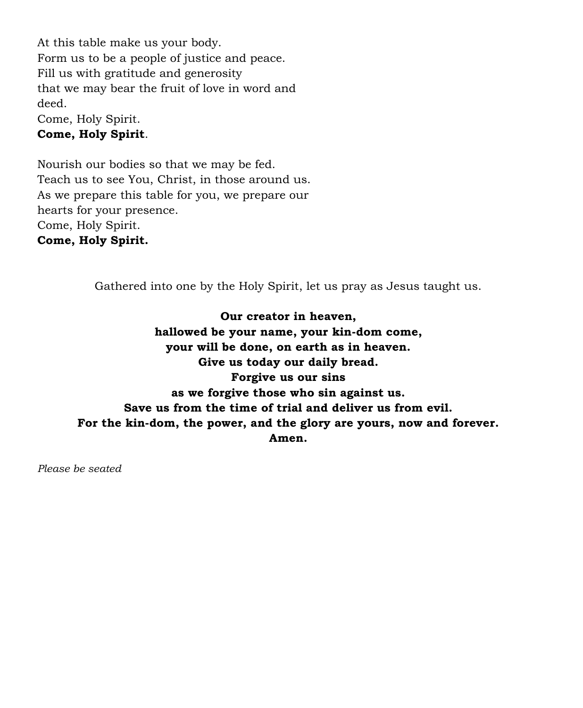At this table make us your body. Form us to be a people of justice and peace. Fill us with gratitude and generosity that we may bear the fruit of love in word and deed. Come, Holy Spirit.

#### **Come, Holy Spirit**.

Nourish our bodies so that we may be fed. Teach us to see You, Christ, in those around us. As we prepare this table for you, we prepare our hearts for your presence. Come, Holy Spirit. **Come, Holy Spirit.**

Gathered into one by the Holy Spirit, let us pray as Jesus taught us.

**Our creator in heaven, hallowed be your name, your kin-dom come, your will be done, on earth as in heaven. Give us today our daily bread. Forgive us our sins as we forgive those who sin against us. Save us from the time of trial and deliver us from evil. For the kin-dom, the power, and the glory are yours, now and forever. Amen.** 

*Please be seated*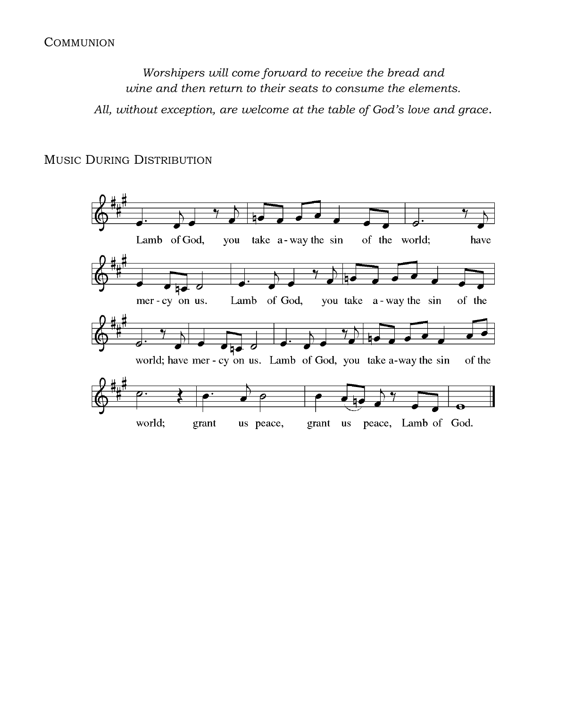#### **COMMUNION**

*Worshipers will come forward to receive the bread and wine and then return to their seats to consume the elements.*

*All, without exception, are welcome at the table of God's love and grace*.

#### MUSIC DURING DISTRIBUTION

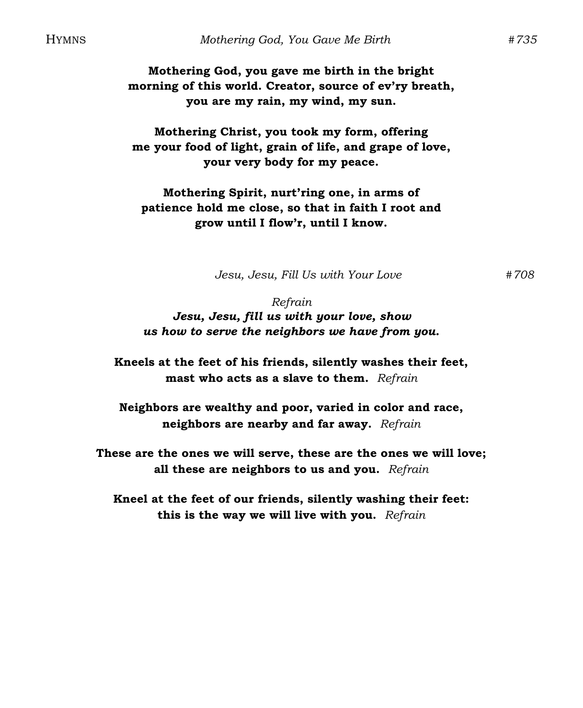**Mothering God, you gave me birth in the bright morning of this world. Creator, source of ev'ry breath, you are my rain, my wind, my sun.**

**Mothering Christ, you took my form, offering me your food of light, grain of life, and grape of love, your very body for my peace.**

**Mothering Spirit, nurt'ring one, in arms of patience hold me close, so that in faith I root and grow until I flow'r, until I know.**

*Jesu, Jesu, Fill Us with Your Love #708*

*Refrain Jesu, Jesu, fill us with your love, show us how to serve the neighbors we have from you.*

**Kneels at the feet of his friends, silently washes their feet, mast who acts as a slave to them.** *Refrain*

**Neighbors are wealthy and poor, varied in color and race, neighbors are nearby and far away.** *Refrain*

**These are the ones we will serve, these are the ones we will love; all these are neighbors to us and you.** *Refrain*

**Kneel at the feet of our friends, silently washing their feet: this is the way we will live with you.** *Refrain*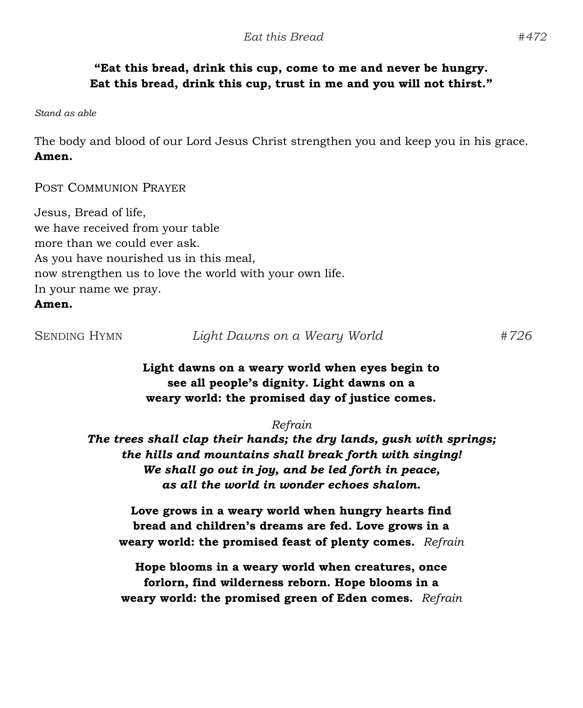#### **"Eat this bread, drink this cup, come to me and never be hungry. Eat this bread, drink this cup, trust in me and you will not thirst."**

*Stand as able*

The body and blood of our Lord Jesus Christ strengthen you and keep you in his grace. **Amen.**

POST COMMUNION PRAYER

Jesus, Bread of life, we have received from your table more than we could ever ask. As you have nourished us in this meal, now strengthen us to love the world with your own life. In your name we pray.

#### **Amen.**

SENDING HYMN *Light Dawns on a Weary World #726*

#### **Light dawns on a weary world when eyes begin to see all people's dignity. Light dawns on a weary world: the promised day of justice comes.**

#### *Refrain*

*The trees shall clap their hands; the dry lands, gush with springs; the hills and mountains shall break forth with singing! We shall go out in joy, and be led forth in peace, as all the world in wonder echoes shalom.*

**Love grows in a weary world when hungry hearts find bread and children's dreams are fed. Love grows in a weary world: the promised feast of plenty comes.** *Refrain*

**Hope blooms in a weary world when creatures, once forlorn, find wilderness reborn. Hope blooms in a weary world: the promised green of Eden comes.** *Refrain*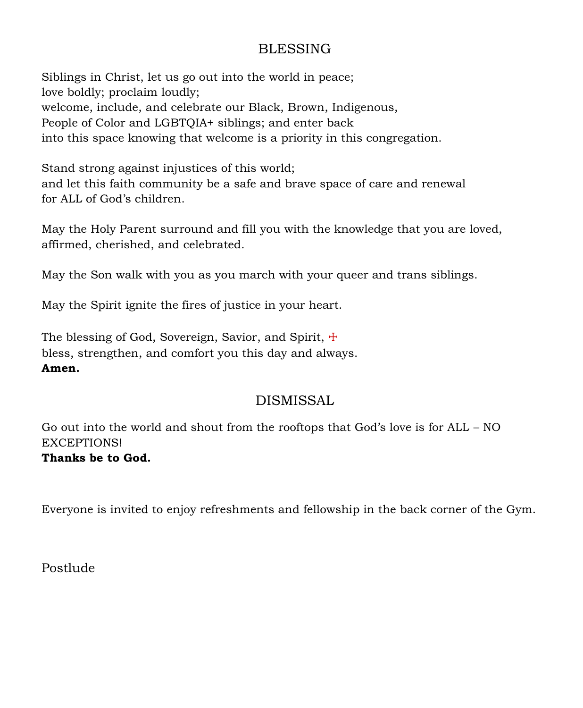### BLESSING

Siblings in Christ, let us go out into the world in peace; love boldly; proclaim loudly; welcome, include, and celebrate our Black, Brown, Indigenous, People of Color and LGBTQIA+ siblings; and enter back into this space knowing that welcome is a priority in this congregation.

Stand strong against injustices of this world; and let this faith community be a safe and brave space of care and renewal for ALL of God's children.

May the Holy Parent surround and fill you with the knowledge that you are loved, affirmed, cherished, and celebrated.

May the Son walk with you as you march with your queer and trans siblings.

May the Spirit ignite the fires of justice in your heart.

The blessing of God, Sovereign, Savior, and Spirit, + bless, strengthen, and comfort you this day and always. **Amen.**

### DISMISSAL

Go out into the world and shout from the rooftops that God's love is for ALL – NO EXCEPTIONS!

**Thanks be to God.** 

Everyone is invited to enjoy refreshments and fellowship in the back corner of the Gym.

Postlude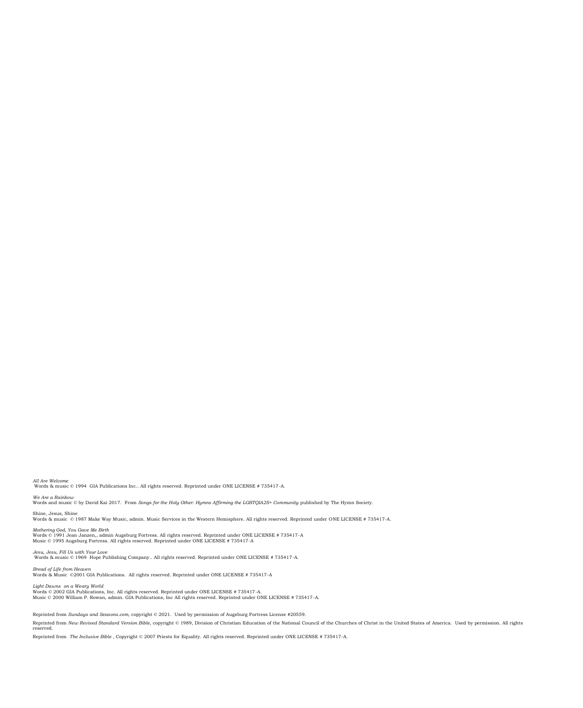Reprinted from *The Inclusive Bible* , Copyright © 2007 Priests for Equality. All rights reserved. Reprinted under ONE LICENSE # 735417-A.

Reprinted from *Sundays and Seasons.com*, copyright © 2021. Used by permission of Augsburg Fortress License #20559. Reprinted from *New Revised Standard Version Bible,* copyright © 1989, Division of Christian Education of the National Council of the Churches of Christ in the United States of America. Used by permission. All rights<br>res

Light Dawns on a Weary World<br>Words © 2002 GIA Publications, Inc. All rights reserved. Reprinted under ONE LICENSE # 735417-A.<br>Music © 2000 William P. Rowan, admin. GIA Publications, Inc All rights reserved. Reprinted under

Words & Music ©2001 GIA Publications. All rights reserved. Reprinted under ONE LICENSE # 735417-A

Words & music © 1969 Hope Publishing Company.. All rights reserved. Reprinted under ONE LICENSE # 735417-A. *Bread of Life from Heaven*

*Jesu, Jesu, Fill Us with Your Love*

Mothering God, You Gave Me Birth<br>Words © 1991 Jean Janzen,, admin Augsburg Fortress. All rights reserved. Reprinted under ONE LICENSE # 735417-A<br>Music © 1995 Augsburg Fortress. All rights reserved. Reprinted under ONE LIC

Shine, Jesus, Shine Words & music © 1987 Make Way Music, admin. Music Services in the Western Hemisphere. All rights reserved. Reprinted under ONE LICENSE # 735417-A.

*We Are a Rainbow* Words and music © by David Kai 2017. From *Songs for the Holy Other: Hymns Affirming the LGBTQIA2S+ Community* published by The Hymn Society.

*All Are Welcome* Words & music © 1994 GIA Publications Inc.. All rights reserved. Reprinted under ONE LICENSE # 735417-A.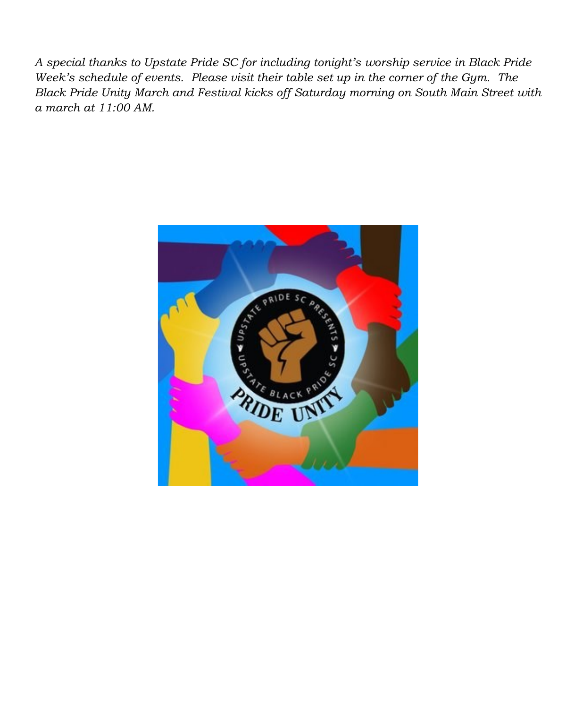*A special thanks to Upstate Pride SC for including tonight's worship service in Black Pride Week's schedule of events. Please visit their table set up in the corner of the Gym. The Black Pride Unity March and Festival kicks off Saturday morning on South Main Street with a march at 11:00 AM.*

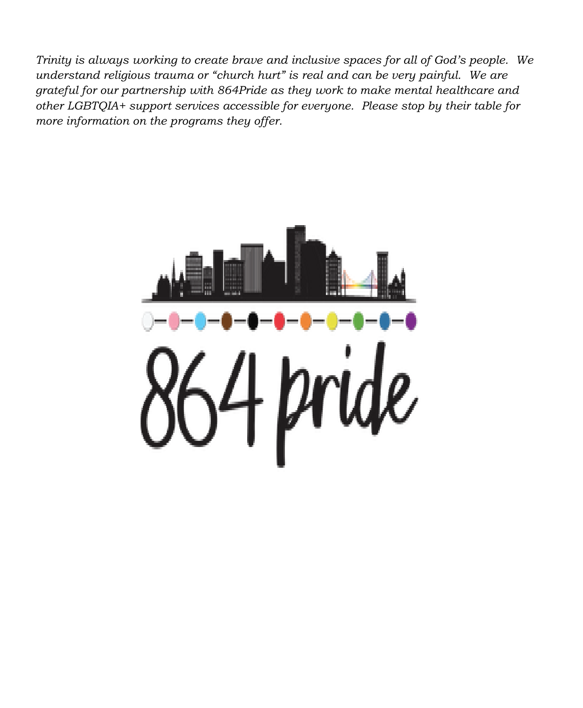*Trinity is always working to create brave and inclusive spaces for all of God's people. We understand religious trauma or "church hurt" is real and can be very painful. We are grateful for our partnership with 864Pride as they work to make mental healthcare and other LGBTQIA+ support services accessible for everyone. Please stop by their table for more information on the programs they offer.*